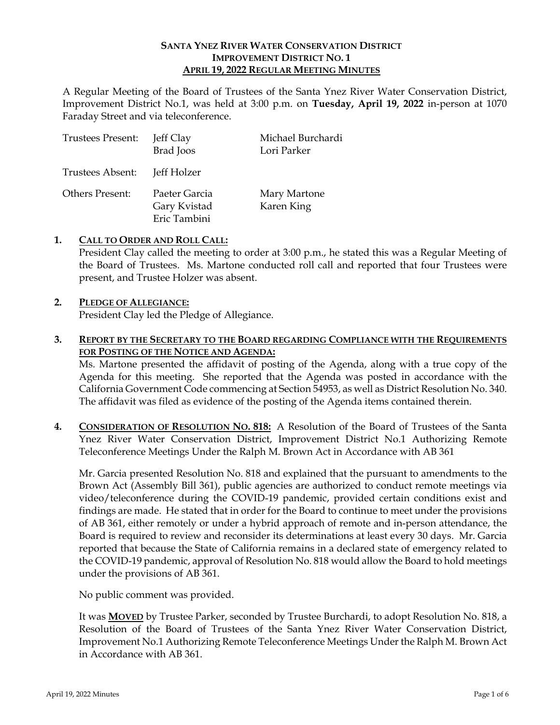## **SANTA YNEZ RIVER WATER CONSERVATION DISTRICT IMPROVEMENT DISTRICT NO. 1 APRIL 19, 2022 REGULAR MEETING MINUTES**

A Regular Meeting of the Board of Trustees of the Santa Ynez River Water Conservation District, Improvement District No.1, was held at 3:00 p.m. on **Tuesday, April 19, 2022** in-person at 1070 Faraday Street and via teleconference.

| <b>Trustees Present:</b> | Jeff Clay<br><b>Brad</b> Joos                 | Michael Burchardi<br>Lori Parker |
|--------------------------|-----------------------------------------------|----------------------------------|
| Trustees Absent:         | Jeff Holzer                                   |                                  |
| <b>Others Present:</b>   | Paeter Garcia<br>Gary Kvistad<br>Eric Tambini | Mary Martone<br>Karen King       |

#### **1. CALL TO ORDER AND ROLL CALL:**

President Clay called the meeting to order at 3:00 p.m., he stated this was a Regular Meeting of the Board of Trustees. Ms. Martone conducted roll call and reported that four Trustees were present, and Trustee Holzer was absent.

# **2. PLEDGE OF ALLEGIANCE:**

President Clay led the Pledge of Allegiance.

# **3. REPORT BY THE SECRETARY TO THE BOARD REGARDING COMPLIANCE WITH THE REQUIREMENTS FOR POSTING OF THE NOTICE AND AGENDA:**

Ms. Martone presented the affidavit of posting of the Agenda, along with a true copy of the Agenda for this meeting. She reported that the Agenda was posted in accordance with the California Government Code commencing at Section 54953, as well as District Resolution No. 340. The affidavit was filed as evidence of the posting of the Agenda items contained therein.

**4. CONSIDERATION OF RESOLUTION NO. 818:** A Resolution of the Board of Trustees of the Santa Ynez River Water Conservation District, Improvement District No.1 Authorizing Remote Teleconference Meetings Under the Ralph M. Brown Act in Accordance with AB 361

Mr. Garcia presented Resolution No. 818 and explained that the pursuant to amendments to the Brown Act (Assembly Bill 361), public agencies are authorized to conduct remote meetings via video/teleconference during the COVID-19 pandemic, provided certain conditions exist and findings are made. He stated that in order for the Board to continue to meet under the provisions of AB 361, either remotely or under a hybrid approach of remote and in-person attendance, the Board is required to review and reconsider its determinations at least every 30 days. Mr. Garcia reported that because the State of California remains in a declared state of emergency related to the COVID-19 pandemic, approval of Resolution No. 818 would allow the Board to hold meetings under the provisions of AB 361.

No public comment was provided.

It was **MOVED** by Trustee Parker, seconded by Trustee Burchardi, to adopt Resolution No. 818, a Resolution of the Board of Trustees of the Santa Ynez River Water Conservation District, Improvement No.1 Authorizing Remote Teleconference Meetings Under the Ralph M. Brown Act in Accordance with AB 361.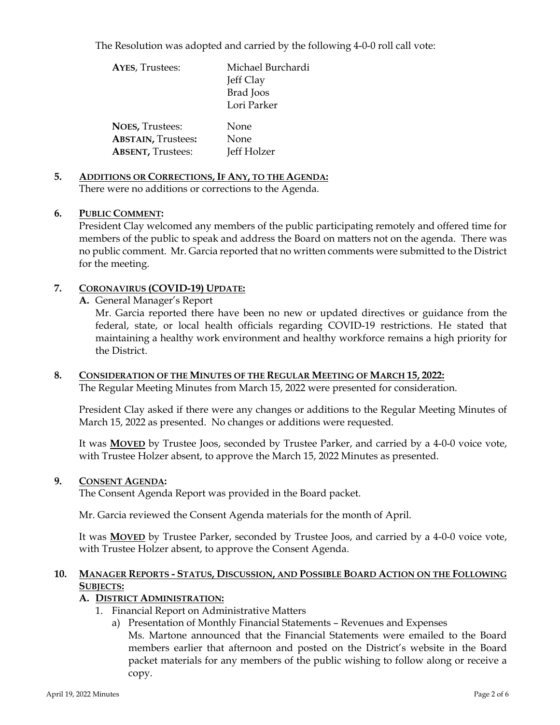The Resolution was adopted and carried by the following 4-0-0 roll call vote:

| <b>AYES, Trustees:</b>    | Michael Burchardi |
|---------------------------|-------------------|
|                           | Jeff Clay         |
|                           | Brad Joos         |
|                           | Lori Parker       |
| <b>NOES, Trustees:</b>    | None              |
| <b>ABSTAIN, Trustees:</b> | None              |
| <b>ABSENT, Trustees:</b>  | Jeff Holzer       |

**5. ADDITIONS OR CORRECTIONS, IF ANY, TO THE AGENDA:**  There were no additions or corrections to the Agenda.

## **6. PUBLIC COMMENT:**

President Clay welcomed any members of the public participating remotely and offered time for members of the public to speak and address the Board on matters not on the agenda. There was no public comment. Mr. Garcia reported that no written comments were submitted to the District for the meeting.

## **7. CORONAVIRUS (COVID-19) UPDATE:**

**A.** General Manager's Report

Mr. Garcia reported there have been no new or updated directives or guidance from the federal, state, or local health officials regarding COVID-19 restrictions. He stated that maintaining a healthy work environment and healthy workforce remains a high priority for the District.

## **8. CONSIDERATION OF THE MINUTES OF THE REGULAR MEETING OF MARCH 15, 2022:**  The Regular Meeting Minutes from March 15, 2022 were presented for consideration.

President Clay asked if there were any changes or additions to the Regular Meeting Minutes of March 15, 2022 as presented. No changes or additions were requested.

It was **MOVED** by Trustee Joos, seconded by Trustee Parker, and carried by a 4-0-0 voice vote, with Trustee Holzer absent, to approve the March 15, 2022 Minutes as presented.

#### **9. CONSENT AGENDA:**

The Consent Agenda Report was provided in the Board packet.

Mr. Garcia reviewed the Consent Agenda materials for the month of April.

It was **MOVED** by Trustee Parker, seconded by Trustee Joos, and carried by a 4-0-0 voice vote, with Trustee Holzer absent, to approve the Consent Agenda.

# **10. MANAGER REPORTS - STATUS, DISCUSSION, AND POSSIBLE BOARD ACTION ON THE FOLLOWING SUBJECTS:**

# **A. DISTRICT ADMINISTRATION:**

- 1. Financial Report on Administrative Matters
	- a) Presentation of Monthly Financial Statements Revenues and Expenses Ms. Martone announced that the Financial Statements were emailed to the Board members earlier that afternoon and posted on the District's website in the Board packet materials for any members of the public wishing to follow along or receive a copy.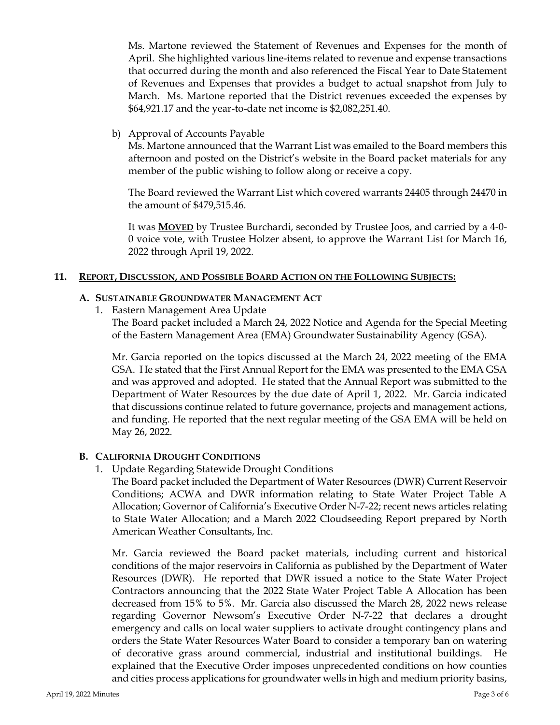Ms. Martone reviewed the Statement of Revenues and Expenses for the month of April. She highlighted various line-items related to revenue and expense transactions that occurred during the month and also referenced the Fiscal Year to Date Statement of Revenues and Expenses that provides a budget to actual snapshot from July to March. Ms. Martone reported that the District revenues exceeded the expenses by \$64,921.17 and the year-to-date net income is \$2,082,251.40.

b) Approval of Accounts Payable

Ms. Martone announced that the Warrant List was emailed to the Board members this afternoon and posted on the District's website in the Board packet materials for any member of the public wishing to follow along or receive a copy.

The Board reviewed the Warrant List which covered warrants 24405 through 24470 in the amount of \$479,515.46.

It was **MOVED** by Trustee Burchardi, seconded by Trustee Joos, and carried by a 4-0- 0 voice vote, with Trustee Holzer absent, to approve the Warrant List for March 16, 2022 through April 19, 2022.

## **11. REPORT, DISCUSSION, AND POSSIBLE BOARD ACTION ON THE FOLLOWING SUBJECTS:**

### **A. SUSTAINABLE GROUNDWATER MANAGEMENT ACT**

1. Eastern Management Area Update

The Board packet included a March 24, 2022 Notice and Agenda for the Special Meeting of the Eastern Management Area (EMA) Groundwater Sustainability Agency (GSA).

Mr. Garcia reported on the topics discussed at the March 24, 2022 meeting of the EMA GSA. He stated that the First Annual Report for the EMA was presented to the EMA GSA and was approved and adopted. He stated that the Annual Report was submitted to the Department of Water Resources by the due date of April 1, 2022. Mr. Garcia indicated that discussions continue related to future governance, projects and management actions, and funding. He reported that the next regular meeting of the GSA EMA will be held on May 26, 2022.

# **B. CALIFORNIA DROUGHT CONDITIONS**

1. Update Regarding Statewide Drought Conditions

The Board packet included the Department of Water Resources (DWR) Current Reservoir Conditions; ACWA and DWR information relating to State Water Project Table A Allocation; Governor of California's Executive Order N-7-22; recent news articles relating to State Water Allocation; and a March 2022 Cloudseeding Report prepared by North American Weather Consultants, Inc.

Mr. Garcia reviewed the Board packet materials, including current and historical conditions of the major reservoirs in California as published by the Department of Water Resources (DWR). He reported that DWR issued a notice to the State Water Project Contractors announcing that the 2022 State Water Project Table A Allocation has been decreased from 15% to 5%. Mr. Garcia also discussed the March 28, 2022 news release regarding Governor Newsom's Executive Order N-7-22 that declares a drought emergency and calls on local water suppliers to activate drought contingency plans and orders the State Water Resources Water Board to consider a temporary ban on watering of decorative grass around commercial, industrial and institutional buildings. He explained that the Executive Order imposes unprecedented conditions on how counties and cities process applications for groundwater wells in high and medium priority basins,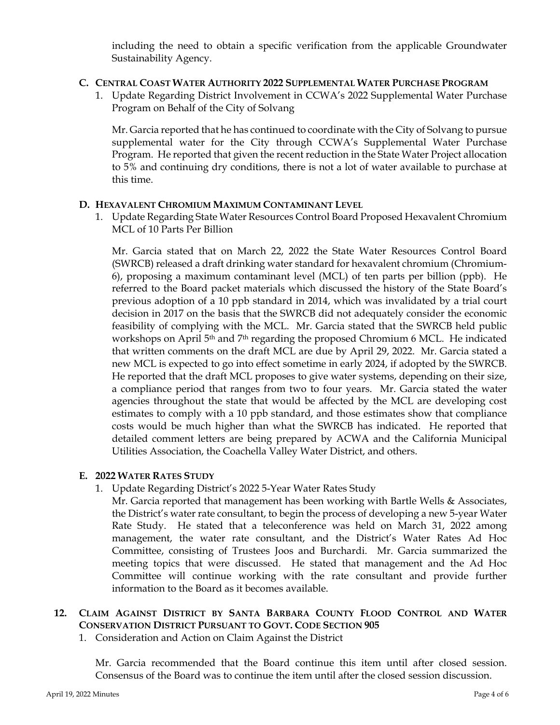including the need to obtain a specific verification from the applicable Groundwater Sustainability Agency.

## **C. CENTRAL COAST WATER AUTHORITY 2022 SUPPLEMENTAL WATER PURCHASE PROGRAM**

1. Update Regarding District Involvement in CCWA's 2022 Supplemental Water Purchase Program on Behalf of the City of Solvang

Mr. Garcia reported that he has continued to coordinate with the City of Solvang to pursue supplemental water for the City through CCWA's Supplemental Water Purchase Program. He reported that given the recent reduction in the State Water Project allocation to 5% and continuing dry conditions, there is not a lot of water available to purchase at this time.

## **D. HEXAVALENT CHROMIUM MAXIMUM CONTAMINANT LEVEL**

1. Update Regarding State Water Resources Control Board Proposed Hexavalent Chromium MCL of 10 Parts Per Billion

Mr. Garcia stated that on March 22, 2022 the State Water Resources Control Board (SWRCB) released a draft drinking water standard for hexavalent chromium (Chromium-6), proposing a maximum contaminant level (MCL) of ten parts per billion (ppb). He referred to the Board packet materials which discussed the history of the State Board's previous adoption of a 10 ppb standard in 2014, which was invalidated by a trial court decision in 2017 on the basis that the SWRCB did not adequately consider the economic feasibility of complying with the MCL. Mr. Garcia stated that the SWRCB held public workshops on April 5<sup>th</sup> and 7<sup>th</sup> regarding the proposed Chromium 6 MCL. He indicated that written comments on the draft MCL are due by April 29, 2022. Mr. Garcia stated a new MCL is expected to go into effect sometime in early 2024, if adopted by the SWRCB. He reported that the draft MCL proposes to give water systems, depending on their size, a compliance period that ranges from two to four years. Mr. Garcia stated the water agencies throughout the state that would be affected by the MCL are developing cost estimates to comply with a 10 ppb standard, and those estimates show that compliance costs would be much higher than what the SWRCB has indicated. He reported that detailed comment letters are being prepared by ACWA and the California Municipal Utilities Association, the Coachella Valley Water District, and others.

#### **E. 2022 WATER RATES STUDY**

1. Update Regarding District's 2022 5-Year Water Rates Study

Mr. Garcia reported that management has been working with Bartle Wells  $\&$  Associates, the District's water rate consultant, to begin the process of developing a new 5-year Water Rate Study. He stated that a teleconference was held on March 31, 2022 among management, the water rate consultant, and the District's Water Rates Ad Hoc Committee, consisting of Trustees Joos and Burchardi. Mr. Garcia summarized the meeting topics that were discussed. He stated that management and the Ad Hoc Committee will continue working with the rate consultant and provide further information to the Board as it becomes available.

# **12. CLAIM AGAINST DISTRICT BY SANTA BARBARA COUNTY FLOOD CONTROL AND WATER CONSERVATION DISTRICT PURSUANT TO GOVT. CODE SECTION 905**

1. Consideration and Action on Claim Against the District

Mr. Garcia recommended that the Board continue this item until after closed session. Consensus of the Board was to continue the item until after the closed session discussion.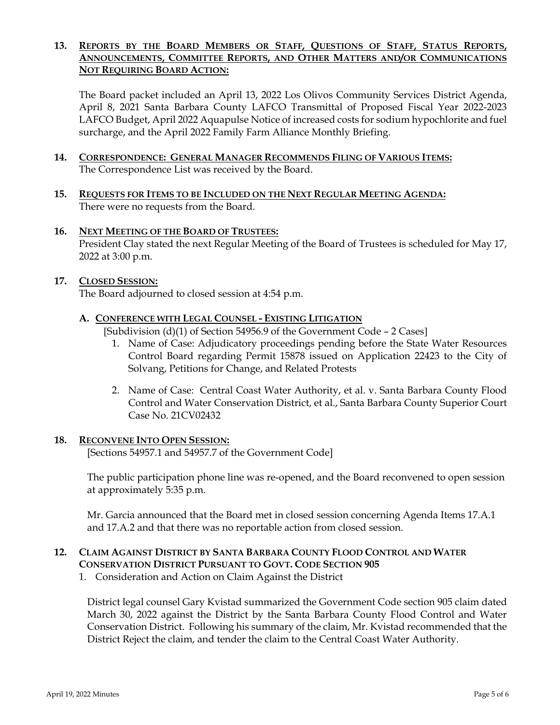## **13. REPORTS BY THE BOARD MEMBERS OR STAFF, QUESTIONS OF STAFF, STATUS REPORTS, ANNOUNCEMENTS, COMMITTEE REPORTS, AND OTHER MATTERS AND/OR COMMUNICATIONS NOT REQUIRING BOARD ACTION:**

The Board packet included an April 13, 2022 Los Olivos Community Services District Agenda, April 8, 2021 Santa Barbara County LAFCO Transmittal of Proposed Fiscal Year 2022-2023 LAFCO Budget, April 2022 Aquapulse Notice of increased costs for sodium hypochlorite and fuel surcharge, and the April 2022 Family Farm Alliance Monthly Briefing.

- **14. CORRESPONDENCE: GENERAL MANAGER RECOMMENDS FILING OF VARIOUS ITEMS:**  The Correspondence List was received by the Board.
- **15. REQUESTS FOR ITEMS TO BE INCLUDED ON THE NEXT REGULAR MEETING AGENDA:**  There were no requests from the Board.

#### **16. NEXT MEETING OF THE BOARD OF TRUSTEES:**

President Clay stated the next Regular Meeting of the Board of Trustees is scheduled for May 17, 2022 at 3:00 p.m.

#### **17. CLOSED SESSION:**

The Board adjourned to closed session at 4:54 p.m.

#### **A. CONFERENCE WITH LEGAL COUNSEL - EXISTING LITIGATION**

[Subdivision (d)(1) of Section 54956.9 of the Government Code - 2 Cases]

- 1. Name of Case: Adjudicatory proceedings pending before the State Water Resources Control Board regarding Permit 15878 issued on Application 22423 to the City of Solvang, Petitions for Change, and Related Protests
- 2. Name of Case: Central Coast Water Authority, et al. v. Santa Barbara County Flood Control and Water Conservation District, et al., Santa Barbara County Superior Court Case No. 21CV02432

#### **18. RECONVENE INTO OPEN SESSION:**

[Sections 54957.1 and 54957.7 of the Government Code]

The public participation phone line was re-opened, and the Board reconvened to open session at approximately 5:35 p.m.

Mr. Garcia announced that the Board met in closed session concerning Agenda Items 17.A.1 and 17.A.2 and that there was no reportable action from closed session.

# **12. CLAIM AGAINST DISTRICT BY SANTA BARBARA COUNTY FLOOD CONTROL AND WATER CONSERVATION DISTRICT PURSUANT TO GOVT. CODE SECTION 905**

1. Consideration and Action on Claim Against the District

District legal counsel Gary Kvistad summarized the Government Code section 905 claim dated March 30, 2022 against the District by the Santa Barbara County Flood Control and Water Conservation District. Following his summary of the claim, Mr. Kvistad recommended that the District Reject the claim, and tender the claim to the Central Coast Water Authority.